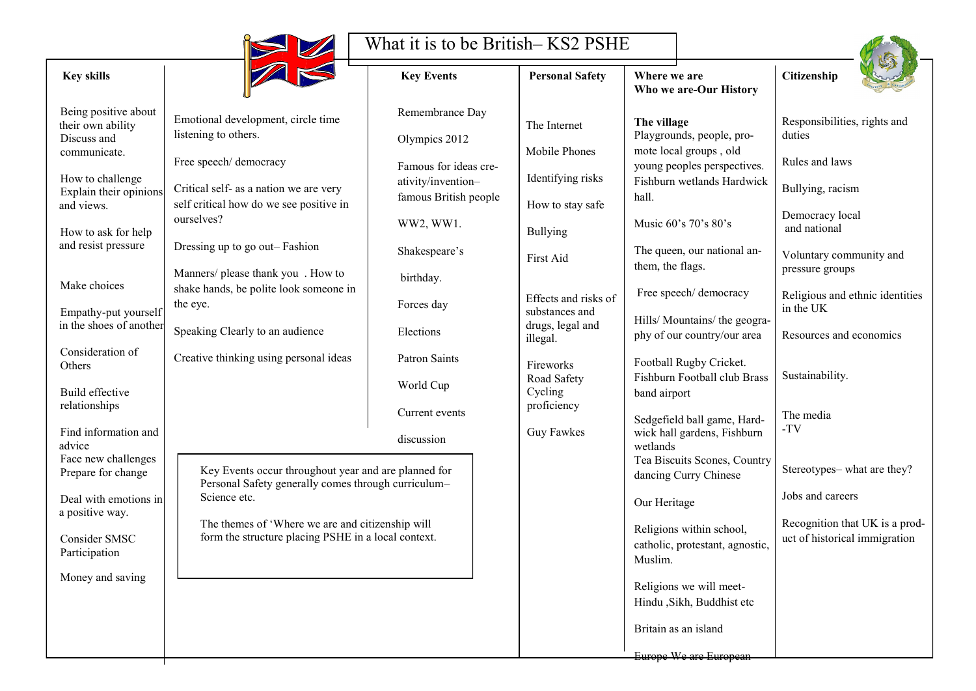

## What it is to be British– KS2 PSHE

| <b>Safety</b>      | <b>Where we are</b><br>Who we are-Our History                           | Citizenship                                                     |  |  |
|--------------------|-------------------------------------------------------------------------|-----------------------------------------------------------------|--|--|
| et                 | The village<br>Playgrounds, people, pro-                                | Responsibilities, rights and<br>duties                          |  |  |
| ones               | mote local groups, old<br>young peoples perspectives.                   | Rules and laws                                                  |  |  |
| g risks            | Fishburn wetlands Hardwick<br>hall.                                     | Bullying, racism                                                |  |  |
| ay safe            | Music 60's 70's 80's                                                    | Democracy local<br>and national                                 |  |  |
|                    | The queen, our national an-<br>them, the flags.                         | Voluntary community and<br>pressure groups                      |  |  |
| d risks of<br>and: | Free speech/ democracy                                                  | Religious and ethnic identities<br>in the UK                    |  |  |
| al and             | Hills/Mountains/the geogra-<br>phy of our country/our area              | Resources and economics                                         |  |  |
| ٠ty                | Football Rugby Cricket.<br>Fishburn Football club Brass<br>band airport | Sustainability.                                                 |  |  |
| y<br>es:           | Sedgefield ball game, Hard-<br>wick hall gardens, Fishburn<br>wetlands  | The media<br>-TV                                                |  |  |
|                    | Tea Biscuits Scones, Country<br>dancing Curry Chinese                   | Stereotypes-what are they?                                      |  |  |
|                    | Our Heritage                                                            | Jobs and careers                                                |  |  |
|                    | Religions within school,<br>catholic, protestant, agnostic,<br>Muslim.  | Recognition that UK is a prod-<br>uct of historical immigration |  |  |
|                    | Religions we will meet-<br>Hindu , Sikh, Buddhist etc                   |                                                                 |  |  |
|                    | Britain as an island                                                    |                                                                 |  |  |
|                    | Europe We are European                                                  |                                                                 |  |  |

| <b>Key skills</b>                                                                                                                                                                                                                                                                                                         | Z                                                                                                                                                                                                                                                                                                                                                                                                              | <b>Key Events</b>                                                                                                                      | <b>Personal Safety</b>                                                                                                                            | Where we are<br>Who we are-C                                                                                                                                                                                                                                                                    |
|---------------------------------------------------------------------------------------------------------------------------------------------------------------------------------------------------------------------------------------------------------------------------------------------------------------------------|----------------------------------------------------------------------------------------------------------------------------------------------------------------------------------------------------------------------------------------------------------------------------------------------------------------------------------------------------------------------------------------------------------------|----------------------------------------------------------------------------------------------------------------------------------------|---------------------------------------------------------------------------------------------------------------------------------------------------|-------------------------------------------------------------------------------------------------------------------------------------------------------------------------------------------------------------------------------------------------------------------------------------------------|
| Being positive about<br>their own ability<br>Discuss and<br>communicate.<br>How to challenge<br>Explain their opinions<br>and views.<br>How to ask for help<br>and resist pressure                                                                                                                                        | Emotional development, circle time<br>listening to others.<br>Free speech/ democracy<br>Critical self- as a nation we are very<br>self critical how do we see positive in<br>ourselves?<br>Dressing up to go out–Fashion                                                                                                                                                                                       | Remembrance Day<br>Olympics 2012<br>Famous for ideas cre-<br>ativity/invention-<br>famous British people<br>WW2, WW1.<br>Shakespeare's | The Internet<br>Mobile Phones<br>Identifying risks<br>How to stay safe<br><b>Bullying</b><br>First Aid                                            | The village<br>Playgrounds, p<br>mote local grou<br>young peoples<br>Fishburn wetla<br>hall.<br>Music $60's 70$<br>The queen, our                                                                                                                                                               |
| Make choices<br>Empathy-put yourself<br>in the shoes of another<br>Consideration of<br>Others<br><b>Build effective</b><br>relationships<br>Find information and<br>advice<br>Face new challenges<br>Prepare for change<br>Deal with emotions in<br>a positive way.<br>Consider SMSC<br>Participation<br>Money and saving | Manners/ please thank you. How to<br>shake hands, be polite look someone in<br>the eye.<br>Speaking Clearly to an audience<br>Creative thinking using personal ideas<br>Key Events occur throughout year and are planned for<br>Personal Safety generally comes through curriculum-<br>Science etc.<br>The themes of 'Where we are and citizenship will<br>form the structure placing PSHE in a local context. | birthday.<br>Forces day<br>Elections<br><b>Patron Saints</b><br>World Cup<br>Current events<br>discussion                              | Effects and risks of<br>substances and<br>drugs, legal and<br>illegal.<br>Fireworks<br>Road Safety<br>Cycling<br>proficiency<br><b>Guy Fawkes</b> | them, the flags<br>Free speech/d<br>Hills/ Mountai<br>phy of our cou<br>Football Rugby<br>Fishburn Footl<br>band airport<br>Sedgefield ball<br>wick hall gard<br>wetlands<br>Tea Biscuits S<br>dancing Curry<br>Our Heritage<br>Religions with<br>catholic, protes<br>Muslim.<br>Religions we v |
|                                                                                                                                                                                                                                                                                                                           |                                                                                                                                                                                                                                                                                                                                                                                                                |                                                                                                                                        |                                                                                                                                                   | Hindu , Sikh, B                                                                                                                                                                                                                                                                                 |